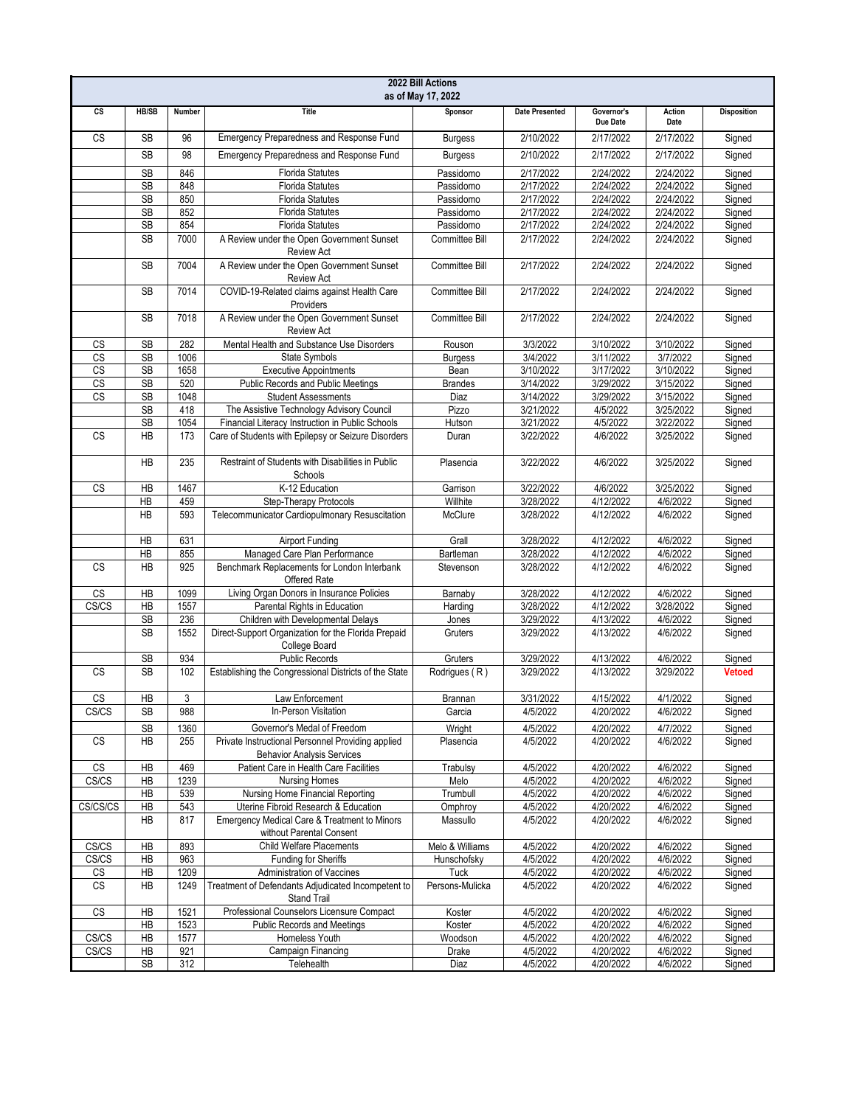| 2022 Bill Actions<br>as of May 17, 2022 |              |        |                                                                                        |                       |                       |                        |                |                    |  |
|-----------------------------------------|--------------|--------|----------------------------------------------------------------------------------------|-----------------------|-----------------------|------------------------|----------------|--------------------|--|
| cs                                      | <b>HB/SB</b> | Number | <b>Title</b>                                                                           | Sponsor               | <b>Date Presented</b> | Governor's<br>Due Date | Action<br>Date | <b>Disposition</b> |  |
| $\overline{\text{cs}}$                  | <b>SB</b>    | 96     | Emergency Preparedness and Response Fund                                               | <b>Burgess</b>        | 2/10/2022             | 2/17/2022              | 2/17/2022      | Signed             |  |
|                                         | <b>SB</b>    | 98     | Emergency Preparedness and Response Fund                                               | <b>Burgess</b>        | 2/10/2022             | 2/17/2022              | 2/17/2022      | Signed             |  |
|                                         | SB           | 846    | <b>Florida Statutes</b>                                                                | Passidomo             | 2/17/2022             | 2/24/2022              | 2/24/2022      | Signed             |  |
|                                         | <b>SB</b>    | 848    | <b>Florida Statutes</b>                                                                | Passidomo             | 2/17/2022             | 2/24/2022              | 2/24/2022      | Signed             |  |
|                                         | SB           | 850    | <b>Florida Statutes</b>                                                                | Passidomo             | 2/17/2022             | 2/24/2022              | 2/24/2022      | Signed             |  |
|                                         | <b>SB</b>    | 852    | <b>Florida Statutes</b>                                                                | Passidomo             | 2/17/2022             | 2/24/2022              | 2/24/2022      | Signed             |  |
|                                         | SB           | 854    | <b>Florida Statutes</b>                                                                | Passidomo             | 2/17/2022             | 2/24/2022              | 2/24/2022      | Signed             |  |
|                                         | <b>SB</b>    | 7000   | A Review under the Open Government Sunset<br><b>Review Act</b>                         | Committee Bill        | 2/17/2022             | 2/24/2022              | 2/24/2022      | Signed             |  |
|                                         | <b>SB</b>    | 7004   | A Review under the Open Government Sunset<br><b>Review Act</b>                         | Committee Bill        | 2/17/2022             | 2/24/2022              | 2/24/2022      | Signed             |  |
|                                         | <b>SB</b>    | 7014   | COVID-19-Related claims against Health Care<br>Providers                               | Committee Bill        | 2/17/2022             | 2/24/2022              | 2/24/2022      | Signed             |  |
|                                         | <b>SB</b>    | 7018   | A Review under the Open Government Sunset<br><b>Review Act</b>                         | <b>Committee Bill</b> | 2/17/2022             | 2/24/2022              | 2/24/2022      | Signed             |  |
| CS                                      | <b>SB</b>    | 282    | Mental Health and Substance Use Disorders                                              | Rouson                | 3/3/2022              | 3/10/2022              | 3/10/2022      | Signed             |  |
| CS                                      | <b>SB</b>    | 1006   | State Symbols                                                                          | <b>Burgess</b>        | 3/4/2022              | 3/11/2022              | 3/7/2022       | Signed             |  |
| $\overline{\text{CS}}$                  | <b>SB</b>    | 1658   | <b>Executive Appointments</b>                                                          | Bean                  | 3/10/2022             | 3/17/2022              | 3/10/2022      | Signed             |  |
| CS                                      | SB           | 520    | Public Records and Public Meetings                                                     | <b>Brandes</b>        | 3/14/2022             | 3/29/2022              | 3/15/2022      | Signed             |  |
| CS                                      | <b>SB</b>    | 1048   | <b>Student Assessments</b>                                                             | Diaz                  | 3/14/2022             | 3/29/2022              | 3/15/2022      | Signed             |  |
|                                         | SB           | 418    | The Assistive Technology Advisory Council                                              | Pizzo                 | 3/21/2022             | 4/5/2022               | 3/25/2022      | Signed             |  |
|                                         | <b>SB</b>    | 1054   | Financial Literacy Instruction in Public Schools                                       | Hutson                | 3/21/2022             | 4/5/2022               | 3/22/2022      | Signed             |  |
| $\mathbb{C}\mathbb{S}$                  | <b>HB</b>    | 173    | Care of Students with Epilepsy or Seizure Disorders                                    | Duran                 | 3/22/2022             | 4/6/2022               | 3/25/2022      | Signed             |  |
|                                         | <b>HB</b>    | 235    | Restraint of Students with Disabilities in Public<br>Schools                           | Plasencia             | 3/22/2022             | 4/6/2022               | 3/25/2022      | Signed             |  |
| <b>CS</b>                               | HB           | 1467   | K-12 Education                                                                         | Garrison              | 3/22/2022             | 4/6/2022               | 3/25/2022      | Signed             |  |
|                                         | <b>HB</b>    | 459    | Step-Therapy Protocols                                                                 | Willhite              | 3/28/2022             | 4/12/2022              | 4/6/2022       | Signed             |  |
|                                         | <b>HB</b>    | 593    | Telecommunicator Cardiopulmonary Resuscitation                                         | McClure               | 3/28/2022             | 4/12/2022              | 4/6/2022       | Signed             |  |
|                                         | HB           | 631    | <b>Airport Funding</b>                                                                 | Grall                 | 3/28/2022             | 4/12/2022              | 4/6/2022       | Signed             |  |
|                                         | HB           | 855    | Managed Care Plan Performance                                                          | Bartleman             | 3/28/2022             | 4/12/2022              | 4/6/2022       | Signed             |  |
| <b>CS</b>                               | <b>HB</b>    | 925    | Benchmark Replacements for London Interbank<br>Offered Rate                            | Stevenson             | 3/28/2022             | 4/12/2022              | 4/6/2022       | Signed             |  |
| CS                                      | HB           | 1099   | Living Organ Donors in Insurance Policies                                              | Barnaby               | 3/28/2022             | 4/12/2022              | 4/6/2022       | Signed             |  |
| CS/CS                                   | HB           | 1557   | Parental Rights in Education                                                           | Harding               | 3/28/2022             | 4/12/2022              | 3/28/2022      | Signed             |  |
|                                         | <b>SB</b>    | 236    | Children with Developmental Delays                                                     | Jones                 | 3/29/2022             | 4/13/2022              | 4/6/2022       | Signed             |  |
|                                         | <b>SB</b>    | 1552   | Direct-Support Organization for the Florida Prepaid<br>College Board                   | Gruters               | 3/29/2022             | 4/13/2022              | 4/6/2022       | Signed             |  |
|                                         | <b>SB</b>    | 934    | <b>Public Records</b>                                                                  | Gruters               | 3/29/2022             | 4/13/2022              | 4/6/2022       | Signed             |  |
| <b>CS</b>                               | <b>SB</b>    | 102    | Establishing the Congressional Districts of the State                                  | Rodrigues (R)         | 3/29/2022             | 4/13/2022              | 3/29/2022      | <b>Vetoed</b>      |  |
| <b>CS</b>                               | HB           | 3      | Law Enforcement                                                                        | <b>Brannan</b>        | 3/31/2022             | 4/15/2022              | 4/1/2022       | Signed             |  |
| CS/CS                                   | SB           | 988    | In-Person Visitation                                                                   | Garcia                | 4/5/2022              | 4/20/2022              | 4/6/2022       | Signed             |  |
|                                         | <b>SB</b>    | 1360   | Governor's Medal of Freedom                                                            | Wright                | 4/5/2022              | 4/20/2022              | 4/7/2022       | Signed             |  |
| CS                                      | НB           | 255    | Private Instructional Personnel Providing applied<br><b>Behavior Analysis Services</b> | Plasencia             | 4/5/2022              | 4/20/2022              | 4/6/2022       | Signed             |  |
| CS                                      | НB           | 469    | Patient Care in Health Care Facilities                                                 | Trabulsy              | 4/5/2022              | 4/20/2022              | 4/6/2022       | Signed             |  |
| CS/CS                                   | HB           | 1239   | <b>Nursing Homes</b>                                                                   | Melo                  | 4/5/2022              | 4/20/2022              | 4/6/2022       | Signed             |  |
|                                         | HB           | 539    | Nursing Home Financial Reporting                                                       | Trumbull              | 4/5/2022              | 4/20/2022              | 4/6/2022       | Signed             |  |
| CS/CS/CS                                | HB           | 543    | Uterine Fibroid Research & Education                                                   | Omphroy               | 4/5/2022              | 4/20/2022              | 4/6/2022       | Signed             |  |
|                                         | HB           | 817    | Emergency Medical Care & Treatment to Minors<br>without Parental Consent               | Massullo              | 4/5/2022              | 4/20/2022              | 4/6/2022       | Signed             |  |
| CS/CS                                   | HB           | 893    | <b>Child Welfare Placements</b>                                                        | Melo & Williams       | 4/5/2022              | 4/20/2022              | 4/6/2022       | Signed             |  |
| CS/CS                                   | HB           | 963    | <b>Funding for Sheriffs</b>                                                            | Hunschofsky           | 4/5/2022              | 4/20/2022              | 4/6/2022       | Signed             |  |
| CS                                      | HB           | 1209   | Administration of Vaccines                                                             | Tuck                  | 4/5/2022              | 4/20/2022              | 4/6/2022       | Signed             |  |
| $\mathbb{C}\mathbb{S}$                  | HB           | 1249   | Treatment of Defendants Adjudicated Incompetent to<br>Stand Trail                      | Persons-Mulicka       | 4/5/2022              | 4/20/2022              | 4/6/2022       | Signed             |  |
| $\overline{\text{CS}}$                  | HB           | 1521   | Professional Counselors Licensure Compact                                              | Koster                | 4/5/2022              | 4/20/2022              | 4/6/2022       | Signed             |  |
|                                         | HB           | 1523   | <b>Public Records and Meetings</b>                                                     | Koster                | 4/5/2022              | 4/20/2022              | 4/6/2022       | Signed             |  |
| CS/CS                                   | HB           | 1577   | Homeless Youth                                                                         | Woodson               | 4/5/2022              | 4/20/2022              | 4/6/2022       | Signed             |  |
| CS/CS                                   | HB           | 921    | Campaign Financing                                                                     | Drake                 | 4/5/2022              | 4/20/2022              | 4/6/2022       | Signed             |  |
|                                         | <b>SB</b>    | 312    | Telehealth                                                                             | Diaz                  | 4/5/2022              | 4/20/2022              | 4/6/2022       | Signed             |  |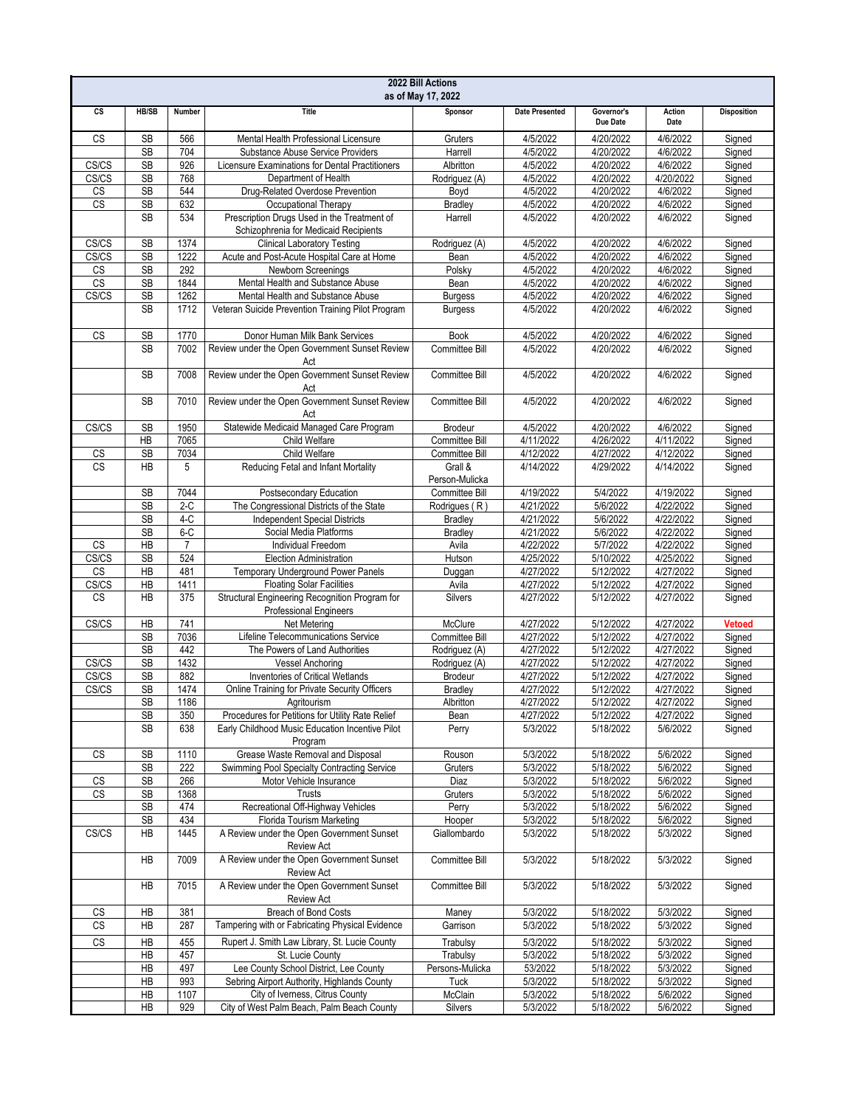| 2022 Bill Actions<br>as of May 17, 2022 |                 |                         |                                                                                                     |                             |                        |                        |                        |                    |
|-----------------------------------------|-----------------|-------------------------|-----------------------------------------------------------------------------------------------------|-----------------------------|------------------------|------------------------|------------------------|--------------------|
| cs                                      | <b>HB/SB</b>    | Number                  | <b>Title</b>                                                                                        | Sponsor                     | <b>Date Presented</b>  | Governor's<br>Due Date | Action<br>Date         | <b>Disposition</b> |
| CS                                      | <b>SB</b>       | 566                     | Mental Health Professional Licensure                                                                | Gruters                     | 4/5/2022               | 4/20/2022              | 4/6/2022               | Signed             |
|                                         | <b>SB</b>       | 704                     | Substance Abuse Service Providers                                                                   | Harrell                     | 4/5/2022               | 4/20/2022              | 4/6/2022               | Signed             |
| CS/CS                                   | <b>SB</b>       | 926                     | Licensure Examinations for Dental Practitioners                                                     | Albritton                   | 4/5/2022               | 4/20/2022              | 4/6/2022               | Signed             |
| CS/CS                                   | <b>SB</b>       | 768                     | Department of Health                                                                                | Rodriguez (A)               | 4/5/2022               | 4/20/2022              | 4/20/2022              | Signed             |
| CS                                      | <b>SB</b>       | 544                     | Drug-Related Overdose Prevention                                                                    | Boyd                        | 4/5/2022               | 4/20/2022              | 4/6/2022               | Signed             |
| CS                                      | <b>SB</b>       | 632                     | Occupational Therapy                                                                                | Bradley                     | 4/5/2022               | 4/20/2022              | 4/6/2022               | Signed             |
|                                         | <b>SB</b>       | 534                     | Prescription Drugs Used in the Treatment of<br>Schizophrenia for Medicaid Recipients                | Harrell                     | 4/5/2022               | 4/20/2022              | 4/6/2022               | Signed             |
| CS/CS                                   | <b>SB</b>       | 1374                    | <b>Clinical Laboratory Testing</b>                                                                  | Rodriguez (A)               | 4/5/2022               | 4/20/2022              | 4/6/2022               | Signed             |
| CS/CS                                   | <b>SB</b>       | 1222                    | Acute and Post-Acute Hospital Care at Home                                                          | Bean                        | 4/5/2022               | 4/20/2022              | 4/6/2022               | Signed             |
| CS<br>CS                                | <b>SB</b><br>SB | 292<br>1844             | Newborn Screenings<br>Mental Health and Substance Abuse                                             | Polsky<br>Bean              | 4/5/2022<br>4/5/2022   | 4/20/2022<br>4/20/2022 | 4/6/2022<br>4/6/2022   | Signed<br>Signed   |
| CS/CS                                   | <b>SB</b>       | 1262                    | Mental Health and Substance Abuse                                                                   | <b>Burgess</b>              | 4/5/2022               | 4/20/2022              | 4/6/2022               | Signed             |
|                                         | <b>SB</b>       | 1712                    | Veteran Suicide Prevention Training Pilot Program                                                   | <b>Burgess</b>              | 4/5/2022               | 4/20/2022              | 4/6/2022               | Signed             |
| CS                                      | <b>SB</b>       | 1770                    | Donor Human Milk Bank Services                                                                      | <b>Book</b>                 | 4/5/2022               | 4/20/2022              | 4/6/2022               | Signed             |
|                                         | <b>SB</b>       | 7002                    | Review under the Open Government Sunset Review                                                      | Committee Bill              | 4/5/2022               | 4/20/2022              | 4/6/2022               | Signed             |
|                                         | <b>SB</b>       | 7008                    | Act<br>Review under the Open Government Sunset Review                                               | Committee Bill              | 4/5/2022               | 4/20/2022              | 4/6/2022               | Signed             |
|                                         |                 |                         | Act                                                                                                 |                             |                        |                        |                        |                    |
|                                         | <b>SB</b>       | 7010                    | Review under the Open Government Sunset Review<br>Act                                               | Committee Bill              | 4/5/2022               | 4/20/2022              | 4/6/2022               | Signed             |
| CS/CS                                   | <b>SB</b>       | 1950                    | Statewide Medicaid Managed Care Program                                                             | Brodeur                     | 4/5/2022               | 4/20/2022              | 4/6/2022               | Signed             |
|                                         | <b>HB</b>       | 7065                    | Child Welfare                                                                                       | Committee Bill              | 4/11/2022              | 4/26/2022              | 4/11/2022              | Signed             |
| $\mathbb{C}\mathbb{S}$                  | <b>SB</b>       | 7034                    | Child Welfare                                                                                       | Committee Bill              | 4/12/2022              | 4/27/2022              | 4/12/2022              | Signed             |
| <b>CS</b>                               | НB              | 5                       | Reducing Fetal and Infant Mortality                                                                 | Grall &<br>Person-Mulicka   | 4/14/2022              | 4/29/2022              | 4/14/2022              | Signed             |
|                                         | <b>SB</b>       | 7044                    | Postsecondary Education                                                                             | Committee Bill              | 4/19/2022              | 5/4/2022               | 4/19/2022              | Signed             |
|                                         | <b>SB</b>       | $2-C$                   | The Congressional Districts of the State                                                            | Rodrigues (R)               | 4/21/2022              | 5/6/2022               | 4/22/2022              | Signed             |
|                                         | SB              | $4-C$                   | <b>Independent Special Districts</b>                                                                | <b>Bradley</b>              | 4/21/2022              | 5/6/2022               | 4/22/2022              | Signed             |
|                                         | <b>SB</b>       | $6-C$<br>$\overline{7}$ | Social Media Platforms<br>Individual Freedom                                                        | <b>Bradley</b>              | 4/21/2022              | 5/6/2022               | 4/22/2022              | Signed             |
| CS<br>CS/CS                             | ΗB<br><b>SB</b> | 524                     | <b>Election Administration</b>                                                                      | Avila<br>Hutson             | 4/22/2022<br>4/25/2022 | 5/7/2022<br>5/10/2022  | 4/22/2022<br>4/25/2022 | Signed<br>Signed   |
| CS                                      | ΗB              | 481                     | Temporary Underground Power Panels                                                                  | Duggan                      | 4/27/2022              | 5/12/2022              | 4/27/2022              | Signed             |
| CS/CS                                   | HB              | 1411                    | <b>Floating Solar Facilities</b>                                                                    | Avila                       | 4/27/2022              | 5/12/2022              | 4/27/2022              | Signed             |
| <b>CS</b>                               | <b>HB</b>       | 375                     | Structural Engineering Recognition Program for<br><b>Professional Engineers</b>                     | <b>Silvers</b>              | 4/27/2022              | 5/12/2022              | 4/27/2022              | Signed             |
| CS/CS                                   | HB              | 741                     | Net Metering                                                                                        | McClure                     | 4/27/2022              | 5/12/2022              | 4/27/2022              | <b>Vetoed</b>      |
|                                         | <b>SB</b>       | 7036                    | Lifeline Telecommunications Service                                                                 | Committee Bill              | 4/27/2022              | 5/12/2022              | 4/27/2022              | Signed             |
|                                         | <b>SB</b>       | 442                     | The Powers of Land Authorities                                                                      | Rodriguez (A)               | 4/27/2022              | 5/12/2022              | 4/27/2022              | Signed             |
| CS/CS                                   | <b>SB</b>       | 1432                    | <b>Vessel Anchoring</b>                                                                             | Rodriguez (A)               | 4/27/2022              | 5/12/2022              | 4/27/2022              | Signed             |
| CS/CS                                   | <b>SB</b>       | 882                     | <b>Inventories of Critical Wetlands</b>                                                             | Brodeur                     | 4/27/2022              | 5/12/2022              | 4/27/2022              | Signed             |
| CS/CS                                   | <b>SB</b>       | 1474                    | Online Training for Private Security Officers                                                       | <b>Bradley</b>              | 4/27/2022              | 5/12/2022              | 4/27/2022              | Signed             |
|                                         | SВ              | 1186                    | Agritourism                                                                                         | Albritton                   | 4/27/2022              | 5/12/2022              | 4/27/2022              | Signed             |
|                                         | <b>SB</b><br>SB | 350<br>638              | Procedures for Petitions for Utility Rate Relief<br>Early Childhood Music Education Incentive Pilot | Bean<br>Perry               | 4/27/2022<br>5/3/2022  | 5/12/2022<br>5/18/2022 | 4/27/2022<br>5/6/2022  | Signed<br>Signed   |
|                                         |                 |                         | Program                                                                                             |                             |                        |                        |                        |                    |
| CS                                      | SB              | 1110                    | Grease Waste Removal and Disposal                                                                   | Rouson                      | 5/3/2022               | 5/18/2022              | 5/6/2022               | Signed             |
|                                         | <b>SB</b>       | 222                     | Swimming Pool Specialty Contracting Service<br>Motor Vehicle Insurance                              | Gruters                     | 5/3/2022               | 5/18/2022              | 5/6/2022               | Signed             |
| CS<br><b>CS</b>                         | SB<br>SB        | 266<br>1368             | Trusts                                                                                              | Diaz<br>Gruters             | 5/3/2022<br>5/3/2022   | 5/18/2022<br>5/18/2022 | 5/6/2022<br>5/6/2022   | Signed<br>Signed   |
|                                         | SB              | 474                     | Recreational Off-Highway Vehicles                                                                   | Perry                       | 5/3/2022               | 5/18/2022              | 5/6/2022               | Signed             |
|                                         | SB              | 434                     | Florida Tourism Marketing                                                                           | Hooper                      | 5/3/2022               | 5/18/2022              | 5/6/2022               | Signed             |
| CS/CS                                   | НB              | 1445                    | A Review under the Open Government Sunset<br><b>Review Act</b>                                      | Giallombardo                | 5/3/2022               | 5/18/2022              | 5/3/2022               | Signed             |
|                                         | НB              | 7009                    | A Review under the Open Government Sunset<br><b>Review Act</b>                                      | Committee Bill              | 5/3/2022               | 5/18/2022              | 5/3/2022               | Signed             |
|                                         | HB              | 7015                    | A Review under the Open Government Sunset                                                           | Committee Bill              | 5/3/2022               | 5/18/2022              | 5/3/2022               | Signed             |
|                                         |                 |                         | <b>Review Act</b>                                                                                   |                             |                        |                        |                        |                    |
| CS<br><b>CS</b>                         | HB<br>HB        | 381<br>287              | Breach of Bond Costs<br>Tampering with or Fabricating Physical Evidence                             | Maney<br>Garrison           | 5/3/2022<br>5/3/2022   | 5/18/2022<br>5/18/2022 | 5/3/2022<br>5/3/2022   | Signed<br>Signed   |
|                                         |                 |                         |                                                                                                     |                             |                        |                        |                        |                    |
| CS                                      | HB              | 455                     | Rupert J. Smith Law Library, St. Lucie County                                                       | Trabulsy                    | 5/3/2022               | 5/18/2022              | 5/3/2022               | Signed             |
|                                         | HB<br>HB        | 457<br>497              | St. Lucie County<br>Lee County School District, Lee County                                          | Trabulsy<br>Persons-Mulicka | 5/3/2022<br>53/2022    | 5/18/2022<br>5/18/2022 | 5/3/2022<br>5/3/2022   | Signed             |
|                                         | HB              | 993                     | Sebring Airport Authority, Highlands County                                                         | Tuck                        | 5/3/2022               | 5/18/2022              | 5/3/2022               | Signed<br>Signed   |
|                                         | НB              | 1107                    | City of Iverness, Citrus County                                                                     | McClain                     | 5/3/2022               | 5/18/2022              | 5/6/2022               | Signed             |
|                                         | HB              | 929                     | City of West Palm Beach, Palm Beach County                                                          | Silvers                     | 5/3/2022               | 5/18/2022              | 5/6/2022               | Signed             |
|                                         |                 |                         |                                                                                                     |                             |                        |                        |                        |                    |